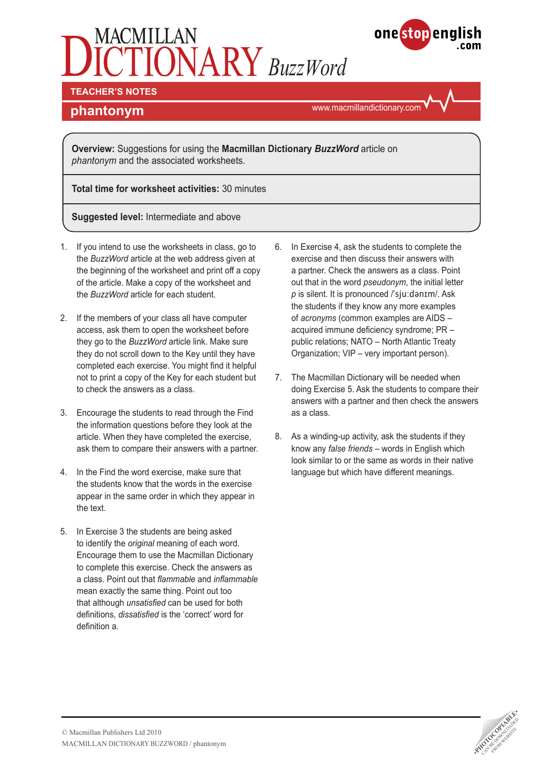# **FONARY** BuzzWord



**TEACHER'S NOTES** 

# **phantonym**

www.macmillandictionary.com

**Overview:** Suggestions for using the **Macmillan Dictionary** *BuzzWord* article on *phantonym* and the associated worksheets.

**Total time for worksheet activities:** 30 minutes

**Suggested level:** Intermediate and above

- 1. If you intend to use the worksheets in class, go to the *BuzzWord* article at the web address given at the beginning of the worksheet and print off a copy of the article. Make a copy of the worksheet and the *BuzzWord* article for each student.
- 2. If the members of your class all have computer access, ask them to open the worksheet before they go to the *BuzzWord* article link. Make sure they do not scroll down to the Key until they have completed each exercise. You might find it helpful not to print a copy of the Key for each student but to check the answers as a class.
- 3. Encourage the students to read through the Find the information questions before they look at the article. When they have completed the exercise, ask them to compare their answers with a partner.
- 4. In the Find the word exercise, make sure that the students know that the words in the exercise appear in the same order in which they appear in the text.
- 5. In Exercise 3 the students are being asked to identify the *original* meaning of each word. Encourage them to use the Macmillan Dictionary to complete this exercise. Check the answers as a class. Point out that *flammable* and *inflammable* mean exactly the same thing. Point out too that although *unsatisfied* can be used for both definitions, *dissatisfied* is the 'correct' word for definition a.
- 6. In Exercise 4, ask the students to complete the exercise and then discuss their answers with a partner. Check the answers as a class. Point out that in the word *pseudonym*, the initial letter *p* is silent. It is pronounced /'sju:dənɪm/. Ask the students if they know any more examples of *acronyms* (common examples are AIDS – acquired immune deficiency syndrome; PR – public relations; NATO – North Atlantic Treaty Organization; VIP – very important person).
- 7. The Macmillan Dictionary will be needed when doing Exercise 5. Ask the students to compare their answers with a partner and then check the answers as a class.
- 8. As a winding-up activity, ask the students if they know any *false friends* – words in English which look similar to or the same as words in their native language but which have different meanings.

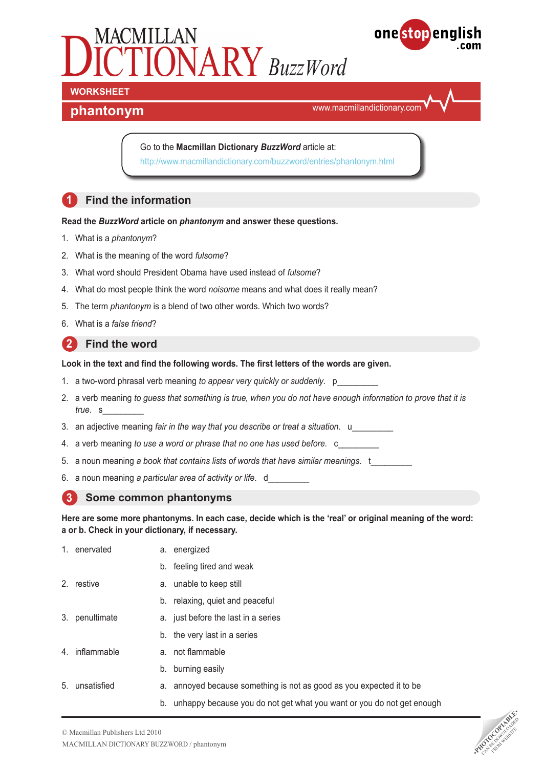# **ONARY** BuzzWord



# **phantonym**

**Worksheet**

www.macmillandictionary.com

Go to the **Macmillan Dictionary** *BuzzWord* article at: http://www.macmillandictionary.com/buzzword/entries/phantonym.html

# **1 Find the information**

#### **Read the** *BuzzWord* **article on** *phantonym* **and answer these questions.**

- 1. What is a *phantonym*?
- 2. What is the meaning of the word *fulsome*?
- 3. What word should President Obama have used instead of *fulsome*?
- 4. What do most people think the word *noisome* means and what does it really mean?
- 5. The term *phantonym* is a blend of two other words. Which two words?
- 6. What is a *false friend*?

### **2 Find the word**

**Look in the text and find the following words. The first letters of the words are given.**

- 1. a two-word phrasal verb meaning *to appear very quickly or suddenly*. p\_\_\_\_\_\_\_\_\_
- 2. a verb meaning *to guess that something is true, when you do not have enough information to prove that it is true*. s\_\_\_\_\_\_\_\_\_
- 3. an adjective meaning *fair in the way that you describe or treat a situation.* u
- 4. a verb meaning *to use a word or phrase that no one has used before*. c\_\_\_\_\_\_\_\_\_
- 5. a noun meaning a book that contains lists of words that have similar meanings. t
- 6. a noun meaning *a particular area of activity or life*. d\_\_\_\_\_\_\_\_\_

#### **3 Some common phantonyms**

**Here are some more phantonyms. In each case, decide which is the 'real' or original meaning of the word: a or b. Check in your dictionary, if necessary.**

- 1. enervated a. energized
	- b. feeling tired and weak
- 2. restive a. unable to keep still
	- b. relaxing, quiet and peaceful
- 3. penultimate a. just before the last in a series
	- b. the very last in a series
- 4. inflammable a. not flammable
	- b. burning easily
- 5. unsatisfied a. annoyed because something is not as good as you expected it to be
	- b. unhappy because you do not get what you want or you do not get enough

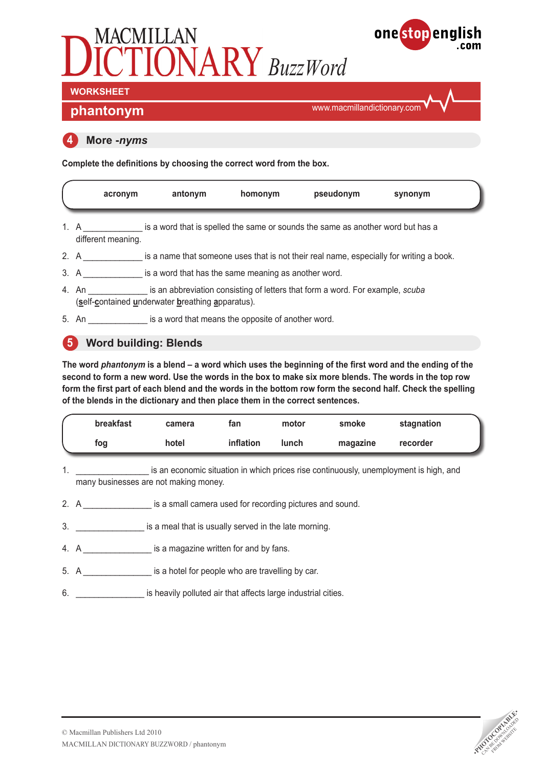# *BuzzWord BuzzWord*



# **phantonym**

**Worksheet**

www.macmillandictionary.com

## **4 More -***nyms*

**Complete the definitions by choosing the correct word from the box.**

| acronym                                                                                                                                      | antonym                                                                         | homonym | pseudonym | synonym |  |  |  |  |
|----------------------------------------------------------------------------------------------------------------------------------------------|---------------------------------------------------------------------------------|---------|-----------|---------|--|--|--|--|
| 1. A $\qquad$<br>different meaning.                                                                                                          | is a word that is spelled the same or sounds the same as another word but has a |         |           |         |  |  |  |  |
| 2. A is a name that someone uses that is not their real name, especially for writing a book.                                                 |                                                                                 |         |           |         |  |  |  |  |
| 3. A<br>is a word that has the same meaning as another word.                                                                                 |                                                                                 |         |           |         |  |  |  |  |
| 4. An same is an abbreviation consisting of letters that form a word. For example, scuba<br>(self-contained underwater breathing apparatus). |                                                                                 |         |           |         |  |  |  |  |
| 5. An                                                                                                                                        | is a word that means the opposite of another word.                              |         |           |         |  |  |  |  |

# **5 Word building: Blends**

**The word** *phantonym* **is a blend – a word which uses the beginning of the first word and the ending of the second to form a new word. Use the words in the box to make six more blends. The words in the top row form the first part of each blend and the words in the bottom row form the second half. Check the spelling of the blends in the dictionary and then place them in the correct sentences.**

| <b>breakfast</b> | camera | fan       | motor | smoke    | stagnation |  |
|------------------|--------|-----------|-------|----------|------------|--|
| fog              | hotel  | inflation | lunch | magazine | recorder   |  |

- 1. **Example 2** is an economic situation in which prices rise continuously, unemployment is high, and many businesses are not making money.
- 2. A \_\_\_\_\_\_\_\_\_\_\_\_\_\_\_\_\_\_ is a small camera used for recording pictures and sound.
- 3. **Supprentice is a meal that is usually served in the late morning.**
- 4. A \_\_\_\_\_\_\_\_\_\_\_\_\_\_\_\_\_\_\_\_ is a magazine written for and by fans.
- 5. A sainting is a hotel for people who are travelling by car.
- 6. \_\_\_\_\_\_\_\_\_\_\_\_\_\_\_\_\_\_\_\_ is heavily polluted air that affects large industrial cities.